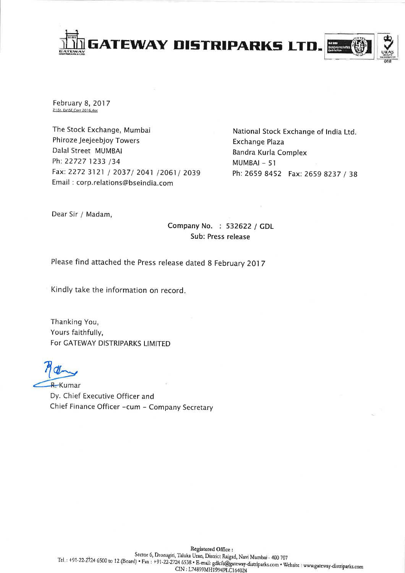

February 8, 2017 Z:\St. Ex\SE Corr 2016,doc

The Stock Exchange, Mumbai Phiroze Jeejeebjoy Towers Dalal Street MUMBAI Ph: 22727 1233 /34 Fax: 2272 3121 / 2037/ 2041 /2061/ 2039 Email: corp.relations@bseindia.com

National Stock Exchange of India Ltd. Exchange Plaza Bandra Kurla Complex MUMBAI-51 Ph: 2659 8452 Fax: 2659 8237 / 38

Dear Sir / Madam,

Company No. : 532622 / GDL Sub: Press release

Please find attached the Press release dated 8 February 2017

Kindly take the information on record.

Thanking You, Yours faithfully, For GATEWAY DISTRIPARKS LIMITED

R. Kumar Dy. Chief Executive Officer and Chief Finance Officer -cum - Company Secretary